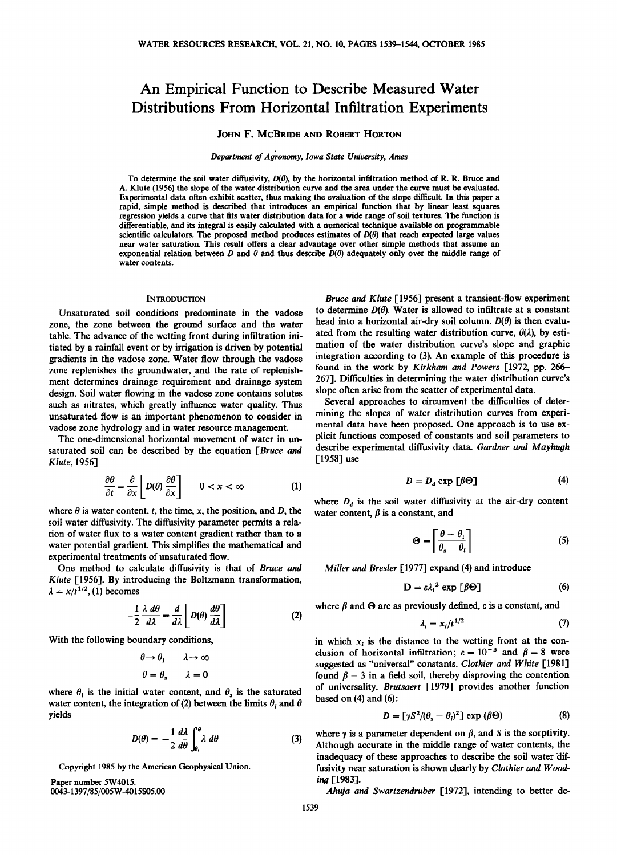# **An Empirical Function to Describe Measured Water Distributions From Horizontal Infiltration Experiments**

## **JOHN F. MCBRIDE AND ROBERT HORTON**

#### Department of Agronomy, Iowa State University, Ames

To determine the soil water diffusivity,  $D(\theta)$ , by the horizontal infiltration method of R. R. Bruce and **A. Klute (1956) the slope of the water distribution curve and the area under the curve must be evaluated. Experimental data often exhibit scatter, thus making the evaluation of the slope difficult. In this paper a rapid, simple method is described that introduces an empirical function that by linear least squares regression yields a curve that fits water distribution data for a wide range of soil textures. The function is differentiable, and its integral is easily calculated with a numerical technique available on programmable**  scientific calculators. The proposed method produces estimates of  $D(\theta)$  that reach expected large values **near water saturation. This result offers a clear advantage over other simple methods that assume an**  exponential relation between D and  $\theta$  and thus describe  $\tilde{D}(\theta)$  adequately only over the middle range of **water contents.** 

#### **INTRODUCTION**

**Unsaturated soil conditions predominate in the vadose zone, the zone between the ground surface and the water table. The advance of the wetting front during infiltration initiated by a rainfall event or by irrigation is driven by potential gradients in the vadose zone. Water flow through the vadose zone replenishes the groundwater, and the rate of replenishment determines drainage requirement and drainage system design. Soil water flowing in the vadose zone contains solutes such as nitrates, which greatly influence water quality. Thus unsaturated flow is an important phenomenon to consider in vadose zone hydrology and in water resource management.** 

**The one-dimensional horizontal movement of water in unsaturated soil can be described by the equation [Bruce and Klute, 1956]** 

$$
\frac{\partial \theta}{\partial t} = \frac{\partial}{\partial x} \left[ D(\theta) \frac{\partial \theta}{\partial x} \right] \qquad 0 < x < \infty \tag{1}
$$

where  $\theta$  is water content, t, the time, x, the position, and D, the **soil water diffusivity. The diffusivity parameter permits a relation of water flux to a water content gradient rather than to a water potential gradient. This simplifies the mathematical and experimental treatments of unsaturated flow.** 

**One method to calculate diffusivity is that of Bruce and Klute [1956]. By introducing the Boltzmann transformation,**   $\lambda = x/t^{1/2}$ , (1) becomes

$$
-\frac{1}{2}\frac{\lambda}{d\lambda}\frac{d\theta}{d\lambda} = \frac{d}{d\lambda}\left[D(\theta)\frac{d\theta}{d\lambda}\right]
$$
 (2)

**With the following boundary conditions,** 

$$
\theta \to \theta_i \qquad \lambda \to \infty
$$

$$
\theta = \theta_s \qquad \lambda = 0
$$

where  $\theta_i$  is the initial water content, and  $\theta_s$  is the saturated water content, the integration of (2) between the limits  $\theta_i$  and  $\theta$ **yields** 

$$
D(\theta) = -\frac{1}{2} \frac{d\lambda}{d\theta} \int_{\theta_i}^{\theta} \lambda \ d\theta \tag{3}
$$

**Copyright 1985 by the American Geophysical Union.** 

**Paper number 5W4015. 0043-1397/85/005W-4015505.00** 

**Bruce and Klute [1956] present a transient-flow experiment**  to determine  $D(\theta)$ . Water is allowed to infiltrate at a constant head into a horizontal air-dry soil column.  $D(\theta)$  is then evaluated from the resulting water distribution curve,  $\theta(\lambda)$ , by esti**mation of the water distribution curve's slope and graphic integration according to (3). An example of this procedure is found in the work by Kirkham and Powers [1972, pp. 266- 267]. Difficulties in determining the water distribution curve's slope often arise from the scatter of experimental data.** 

**Several approaches to circumvent the difficulties of determining the slopes of water distribution curves from experimental data have been proposed. One approach is to use explicit functions composed of constants and soil parameters to describe experimental diffusivity data. Gardner and Mayhugh [1958] use** 

$$
D = D_d \exp \left[\beta \Theta\right] \tag{4}
$$

where  $D_d$  is the soil water diffusivity at the air-dry content water content,  $\beta$  is a constant, and

$$
\Theta = \left[ \frac{\theta - \theta_i}{\theta_s - \theta_i} \right] \tag{5}
$$

**Miller and Bresler [1977] expand (4) and introduce** 

$$
D = \varepsilon \lambda_i^2 \exp\left[\beta\Theta\right] \tag{6}
$$

where  $\beta$  and  $\Theta$  are as previously defined,  $\varepsilon$  is a constant, and

$$
\lambda_i = x_i/t^{1/2} \tag{7}
$$

in which  $x_i$  is the distance to the wetting front at the conclusion of horizontal infiltration;  $\varepsilon = 10^{-3}$  and  $\beta = 8$  were **suggested as "universal" constants. Clothier and White [1981]**  found  $\beta = 3$  in a field soil, thereby disproving the contention **of universality. Brutsaert [1979] provides another function based on (4) and (6):** 

$$
D = \left[\gamma S^2 / (\theta_s - \theta_i)^2\right] \exp\left(\beta \Theta\right) \tag{8}
$$

where  $\nu$  is a parameter dependent on  $\beta$ , and S is the sorptivity. **Although accurate in the middle range of water contents, the**  inadequacy of these approaches to describe the soil water dif**fusivity near saturation is shown clearly by Clothier and Woodina [1983].** 

**Ahuja and Swartzendruber [1972], intending to better de-**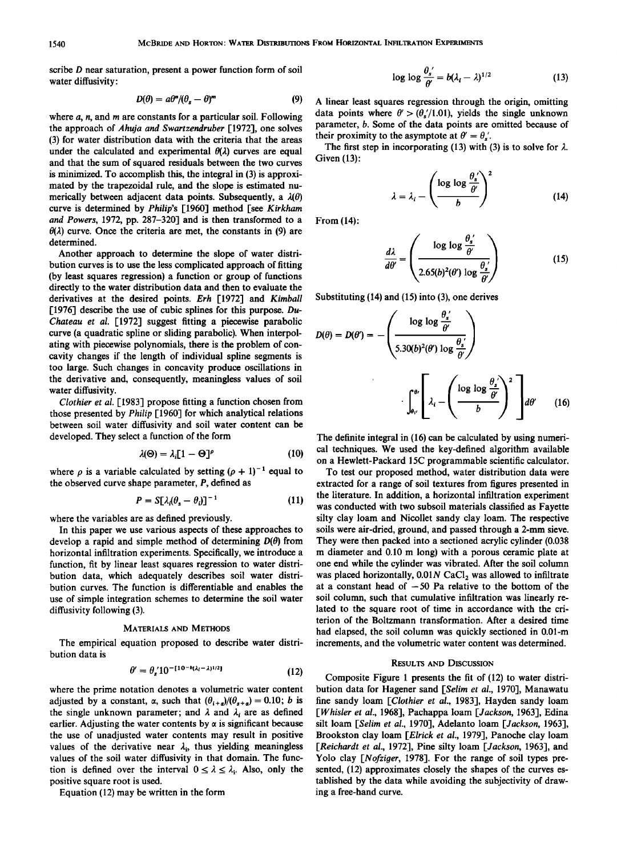**scribe D near saturation, present a power function form of soil water diffusivity:** 

$$
D(\theta) = a\theta^n/(\theta_s - \theta)^m \tag{9}
$$

**where a, n, and m are constants for a particular soil. Following the approach of Ahuja and Swartzendruber [1972], one solves (3) for water distribution data with the criteria that the areas**  under the calculated and experimental  $\theta(\lambda)$  curves are equal **and that the sum of squared residuals between the two curves is minimized. To accomplish this, the integral in (3) is approximated by the trapezoidal rule, and the slope is estimated nu**merically between adjacent data points. Subsequently, a  $\lambda(\theta)$ **curve is determined by Philip's [1960] method [see Kirkham and Powers, 1972, pp. 287-320] and is then transformed to a**   $\theta(\lambda)$  curve. Once the criteria are met, the constants in (9) are **determined.** 

**Another approach to determine the slope of water distribution curves is to use the less complicated approach of fitting (by least squares regression) a function or group of functions directly to the water distribution data and then to evaluate the derivatives at the desired points. Erh [1972] and Kimball [1976] describe the use of cubic splines for this purpose. Du-Chateau et al. [1972] suggest fitting a piecewise parabolic curve (a quadratic spline or sliding parabolic). When interpolating with piecewise polynomials, there is the problem of concavity changes if the length of individual spline segments is too large. Such changes in concavity produce oscillations in the derivative and, consequently, meaningless values of soil water diffusivity.** 

**Clothier et al. [1983] propose fitting a function chosen from those presented by Philip [1960] for which analytical relations between soil water diffusivity and soil water content can be developed. They select a function of the form** 

$$
\lambda(\Theta) = \lambda_i [1 - \Theta]^p \tag{10}
$$

where  $\rho$  is a variable calculated by setting  $(\rho + 1)^{-1}$  equal to **the observed curve shape parameter, P, defined as** 

$$
P = S[\lambda_i(\theta_s - \theta_i)]^{-1} \tag{11}
$$

**where the variables are as defined previously.** 

**In this paper we use various aspects of these approaches to**  develop a rapid and simple method of determining  $D(\theta)$  from **horizontal infiltration experiments. Specifically, we introduce a function, fit by linear least squares regression to water distribution data, which adequately describes soil water distribution curves. The function is differentiable and enables the use of simple integration schemes to determine the soil water diffusivity following (3).** 

## **MATERIALS AND METHODS**

**The empirical equation proposed to describe water distribution data is** 

$$
\theta' = \theta_s' 10^{-[10 - b(\lambda_l - \lambda)^{1/2}]} \tag{12}
$$

**where the prime notation denotes a volumetric water content**  adjusted by a constant,  $\alpha$ , such that  $(\theta_{i+a})/(\theta_{i+a})=0.10$ ; *b* is the single unknown parameter; and  $\lambda$  and  $\lambda_i$  are as defined earlier. Adjusting the water contents by  $\alpha$  is significant because **the use of unadjusted water contents may result in positive**  values of the derivative near  $\lambda_i$ , thus yielding meaningless **values of the soil water diffusivity in that domain. The func**tion is defined over the interval  $0 \leq \lambda \leq \lambda_i$ . Also, only the **positive square root is used.** 

**Equation (12) may be written in the form** 

$$
\log \log \frac{\theta_s'}{\theta'} = b(\lambda_i - \lambda)^{1/2} \tag{13}
$$

**A linear least squares regression through the origin, omitting**  data points where  $\theta' > (\theta'_{s}/1.01)$ , yields the single unknown **parameter, b. Some of the data points are omitted because of**  their proximity to the asymptote at  $\theta' = \theta'_{s}$ .

The first step in incorporating (13) with (3) is to solve for  $\lambda$ . **Given (13):** 

$$
\lambda = \lambda_i - \left(\frac{\log \log \frac{\theta_s'}{\theta'}}{b}\right)^2 \tag{14}
$$

**From (14):** 

$$
\frac{d\lambda}{d\theta'} = \left(\frac{\log\log\frac{\theta_s'}{\theta'}}{2.65(b)^2(\theta')\log\frac{\theta_s'}{\theta'}}\right) \tag{15}
$$

**Substituting (14) and (15) into (3), one derives** 

 $\mathcal{L}$ 

$$
D(\theta) = D(\theta') = -\left(\frac{\log \log \frac{\theta'_s}{\theta'}}{5.30(b)^2(\theta) \log \frac{\theta'_s}{\theta'}}\right)
$$

$$
\int_{\theta_{t'}}^{\theta_{t}} \left[\lambda_i - \left(\frac{\log \log \frac{\theta'_s}{\theta'}}{b}\right)^2\right] d\theta' \qquad (16)
$$

 $\sim$ 

**The definite integral in (16) can be calculated by using numerical techniques. We used the key-defined algorithm available on a Hewlett-Packard 15C programmable scientific calculator.** 

**To test our proposed method, water distribution data were extracted for a range of soil textures from figures presented in the literature. In addition, a horizontal infiltration experiment was conducted with two subsoil materials classified as Fayette silty clay loam and Nicollet sandy clay loam. The respective soils were air-dried, ground, and passed through a 2-mm sieve. They were then packed into a sectioned acrylic cylinder (0.038 m diameter and 0.10 m long) with a porous ceramic plate at one end while the cylinder was vibrated. After the soil column**  was placed horizontally,  $0.01N$  CaCl<sub>2</sub> was allowed to infiltrate at a constant head of  $-50$  Pa relative to the bottom of the **soil column, such that cumulative infiltration was linearly related to the square root of time in accordance with the criterion of the Boltzmann transformation. After a desired time had elapsed, the soil column was quickly sectioned in 0.01-m increments, and the volumetric water content was determined.** 

## **RESULTS AND DISCUSSION**

**Composite Figure 1 presents the fit of (12) to water distribution data for Hagener sand [Selirn et al., 1970], Manawatu fine sandy loam [Clothier et al., 1983], Hayden sandy loam [Whisler et al., 1968], Pachappa loam [Jackson, 1963], Edina silt loam [Selirn et al., 1970], Adelanto loam [Jackson, 1963], Brookston clay loam [Elrick et al., 1979], Panoche clay loam [Reichardt et al., 1972], Pine silty loam [Jackson, 1963], and**  Yolo clay [Nofziger, 1978]. For the range of soil types pre**sented, (12) approximates closely the shapes of the curves established by the data while avoiding the subjectivity of drawing a free-hand curve.**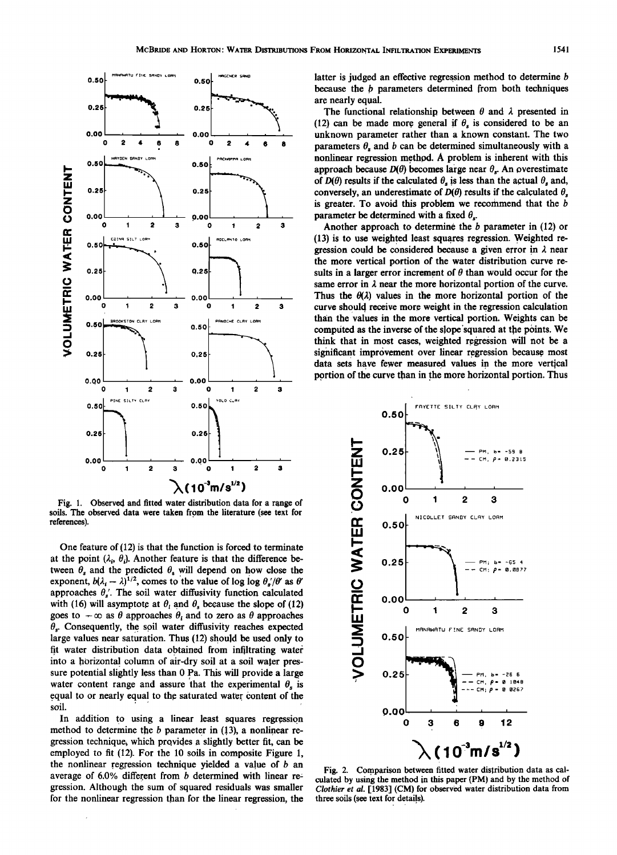

**Fig. 1. Observed and fitted water distribution data for a range of soils. The observed data were taken from the literature (see text for references).** 

**One feature of (12) is that the function is forced to terminate**  at the point  $(\lambda_i, \theta_i)$ . Another feature is that the difference between  $\theta_s$  and the predicted  $\theta_s$  will depend on how close the exponent,  $b(\lambda_i - \lambda)^{1/2}$ , comes to the value of log log  $\theta_s'/\theta'$  as  $\theta'$ approaches  $\theta_s'$ . The soil water diffusivity function calculated with (16) will asymptote at  $\theta_i$  and  $\theta_s$  because the slope of (12) goes to  $-\infty$  as  $\theta$  approaches  $\theta_i$  and to zero as  $\theta$  approaches  $\theta_s$ . Consequently, the soil water diffusivity reaches expected large values near saturation. Thus (12) should be used only to fit water distribution data obtained from infiltrating water into a horizontal column of air-dry soil at a soil water pres**sure potential slightly less than 0 pa. This will provide alarge**  water content range and assure that the experimental  $\theta$ , is **.equal to or nearly equal to the saturated water content of the soil.** 

In addition to using a linear least squares regression method to determine the *b* parameter in (13), a nonlinear re**gression technique, which provides aslightly better fit, can be employed to fit (12). For the 10 soils in composite Figure 1, the nonlinear regression technique yielded a value of b an average of 6.0% different from b determined with linear re**gression. Although the sum of squared residuals was smaller **for the nonlinear regression than for the linear regression, the**  **latter is judged an effective regression method to determine b because the b parameters determined from both techniques are nearly equal.** 

The functional relationship between  $\theta$  and  $\lambda$  presented in (12) can be made more general if  $\theta_s$  is considered to be an **unknown parameter rather than a known constant. The two**  parameters  $\theta$ , and  $b$  can be determined simultaneously with a **nonlinear regression method. A problem is inherent with this**  approach because  $D(\theta)$  becomes large near  $\theta_s$ . An overestimate of  $D(\theta)$  results if the calculated  $\theta_s$  is less than the actual  $\theta_s$  and, conversely, an underestimate of  $D(\theta)$  results if the calculated  $\theta_s$ **is greater. To avoid this problem we recommend that the b parameter be determined with a fixed**  $\theta_s$ **.** 

**Another approach to determine the b parameter in (12) or**  (13) is to use weighted least squares regression. Weighted re**gression could be considered because a given error in 2 near the more vertical portion of the water distribution curve re**sults in a larger error increment of  $\theta$  than would occur for the same error in  $\lambda$  near the more horizontal portion of the curve. Thus the  $\theta(\lambda)$  values in the more horizontal portion of the curve should receive more weight in the regression calculation **than the values in the more vertical portion. Weights can be**  computed as the inverse of the slope squared at the points. We **think that in most cases, weighted regression will not be a**  significant improvement over linear regression because most **data sets have fewer measured values in the more vertical**  portion of the curve than in the more horizontal portion. Thus



Fig. 2. Comparison between fitted water distribution data as cal**culated by using the method in this paper (PM) and by the method of Clothier et al. [1983] (cM) for observed water distribution data from three soils (see text for details). ,**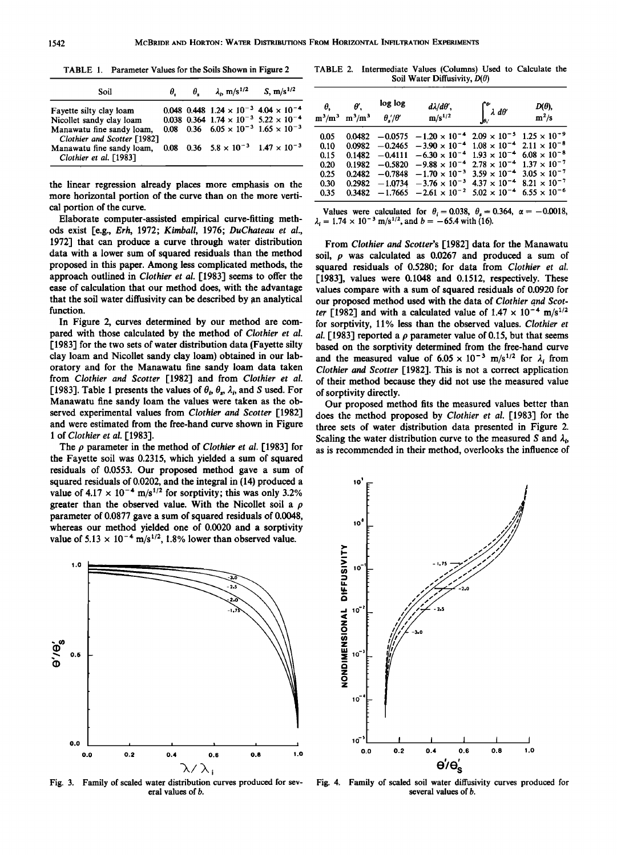|  | TABLE 1. Parameter Values for the Soils Shown in Figure 2 |
|--|-----------------------------------------------------------|
|--|-----------------------------------------------------------|

| Soil                                                                                                                                                                                              | θ. | $\theta_{\rm s}$ $\lambda_{\rm p}$ m/s <sup>1/2</sup>                                                                                                                       | S, $m/s^{1/2}$ |
|---------------------------------------------------------------------------------------------------------------------------------------------------------------------------------------------------|----|-----------------------------------------------------------------------------------------------------------------------------------------------------------------------------|----------------|
| Fayette silty clay loam<br>Nicollet sandy clay loam<br>Manawatu fine sandy loam,<br>Clothier and Scotter [1982]<br>Manawatu fine sandy loam, 0.08 0.36 $5.8 \times 10^{-3}$ 1.47 $\times 10^{-3}$ |    | 0.048 0.448 $1.24 \times 10^{-3}$ 4.04 $\times 10^{-4}$<br>0.038 0.364 $1.74 \times 10^{-3}$ 5.22 $\times 10^{-4}$<br>0.08 0.36 $6.05 \times 10^{-3}$ 1.65 $\times 10^{-3}$ |                |
| Clothier et al. [1983]                                                                                                                                                                            |    |                                                                                                                                                                             |                |

**the linear regression already places more emphasis on the more horizontal portion of the curve than on the more vertical portion of the curve.** 

**Elaborate computer-assisted empirical curve-fitting methods exist [e.g., Erh, 1972; Kimball, 1976; DuChateau et al., 1972] that can produce a curve through water distribution data with a lower sum of squared residuals than the method proposed in this paper. Among less complicated methods, the approach outlined in Clothier et al. [1983] seems to offer the ease of calculation that our method does, with the advantage that the soil water diffusivity can be described by an analytical function.** 

**In Figure 2, curves determined by our method are compared with those calculated by the method of Clothier et al. [1983] for the two sets of water distribution data (Fayette silty day loam and Nicollet sandy clay loam) obtained in our laboratory and for the Manawatu fine sandy loam data taken from Clothier and \$cotter [1982] and from Clothier et al.**  [1983]. Table 1 presents the values of  $\theta_i$ ,  $\theta_s$ ,  $\lambda_i$ , and *S* used. For **Manawatu fine sandy loam the values were taken as the observed experimental values from Clothier and Scotter [1982] and were estimated from the free-hand curve shown in Figure 1 of Clothier et al. [1983].** 

The  $\rho$  parameter in the method of *Clothier et al.* [1983] for **the Fayette soil was 0.2315, which yielded a sum of squared residuals of 0.0553. Our proposed method gave a sum of squared residuals of 0.0202, and the integral in (14) produced a**  value of  $4.17 \times 10^{-4}$  m/s<sup>1/2</sup> for sorptivity; this was only 3.2% **greater than the observed value. With the Nicollet soil a p parameter of 0.0877 gave a sum of squared residuals of 0.0048, whereas our method yielded one of 0.0020 and a sorptivity**  value of  $5.13 \times 10^{-4}$  m/s<sup>1/2</sup>, 1.8% lower than observed value.



**Fig. 3. Family of scaled water distribution curves produced for several values of b.** 

**TABLE 2. Intermediate Values (Columns) Used to Calculate the Soil Water Diffusivity, D(O)** 

| θ.   | $\theta'$<br>$m^3/m^3$ $m^3/m^3$ $\theta'/\theta'$ | log log | $d\lambda/d\theta'$ ,<br>$m/s^{1/2}$                                                                         | $\int_{\theta_{i'}}^{\theta'} \lambda \, d\theta'$ | $D(\theta),$<br>$m^2/s$ |
|------|----------------------------------------------------|---------|--------------------------------------------------------------------------------------------------------------|----------------------------------------------------|-------------------------|
| 0.05 |                                                    |         | $0.0482 -0.0575 -1.20 \times 10^{-4}$ $2.09 \times 10^{-5}$ $1.25 \times 10^{-9}$                            |                                                    |                         |
| 0.10 |                                                    |         | $0.0982 -0.2465 -3.90 \times 10^{-4}$ $1.08 \times 10^{-4}$ $2.11 \times 10^{-8}$                            |                                                    |                         |
| 0.15 |                                                    |         | 0.1482 -0.4111 -6.30 $\times$ 10 <sup>-4</sup> 1.93 $\times$ 10 <sup>-4</sup> 6.08 $\times$ 10 <sup>-8</sup> |                                                    |                         |
| 0.20 |                                                    |         | $0.1982 -0.5820 -9.88 \times 10^{-4}$ $2.78 \times 10^{-4}$ $1.37 \times 10^{-7}$                            |                                                    |                         |
| 0.25 |                                                    |         | 0.2482 $-0.7848$ $-1.70 \times 10^{-3}$ 3.59 $\times 10^{-4}$ 3.05 $\times 10^{-7}$                          |                                                    |                         |
| 0.30 |                                                    |         | $0.2982$ $-1.0734$ $-3.76 \times 10^{-3}$ $4.37 \times 10^{-4}$ $8.21 \times 10^{-7}$                        |                                                    |                         |
| 0.35 |                                                    |         | $0.3482 -1.7665 -2.61 \times 10^{-2} 5.02 \times 10^{-4} 6.55 \times 10^{-6}$                                |                                                    |                         |
|      |                                                    |         |                                                                                                              |                                                    |                         |

Values were calculated for  $\theta_i = 0.038$ ,  $\theta_s = 0.364$ ,  $\alpha = -0.0018$ ,  $\lambda_i = 1.74 \times 10^{-3}$  m/s<sup>1/2</sup>, and  $b = -65.4$  with (16).

**From Clothier and Scotter's [1982] data for the Manawatu**  soil,  $\rho$  was calculated as  $0.0267$  and produced a sum of **squared residuals of 0.5280; for data from Clothier et al. [1983], values were 0.1048 and 0.1512, respectively. These values compare with a sum of squared residuals of 0.0920 for our proposed method used with the data of Clothier qnd Scot**ter [1982] and with a calculated value of  $1.47 \times 10^{-4}$  m/s<sup>1/2</sup> **for sorptivity, 11% less than the observed values. Clothier et al. [1983] reported a p parameter value of 0.15, but that seems based on the sorptivity determined from the free-hand curve**  and the measured value of  $6.05 \times 10^{-3}$  m/s<sup>1/2</sup> for  $\lambda_i$  from **Clothier and Scotter [1982]. This is not a correct application of their method because they did not use the measured value of sorptivity directly.** 

**Our proposed method fits the measured values better than does the method proposed by Clothier et al. [1983] for the three sets of water distribution data presented in Figure 2.**  Scaling the water distribution curve to the measured S and  $\lambda_{\rm b}$ **as is recommended in their method, overlooks the influence of** 



**Fig. 4. Family of scaled soil water diffusivity curves produced for several values of b.**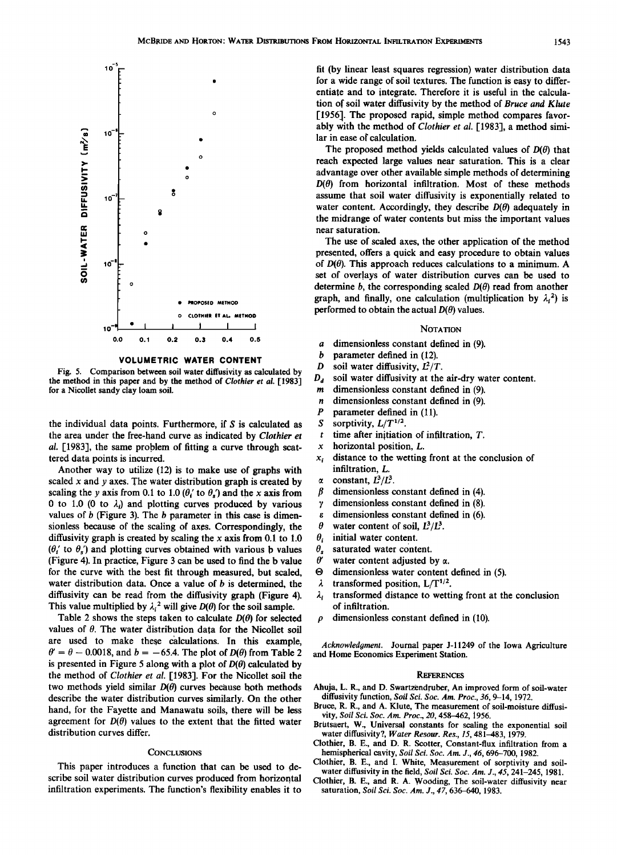

**VOLUMETRIC WATER CONTENT** 

**Fig. 5. Comparison between soil water diffusivity as calculated by the method in this paper and by the method of Clothier et al. [1983] for a Nicollet sandy clay loam soil.** 

**the individual data points. Furthermore, if S is calculated as the area under the free-hand curve as indicated by Clothier et al. [1983], the same problem of fitting a curve through scattered data points is incurred.** 

**Another way to utilize (12) is to make use of graphs with scaled x and y axes. The water distribution graph is created by**  scaling the y axis from 0.1 to 1.0 ( $\theta_i$ ' to  $\theta_s$ ) and the x axis from 0 to 1.0 (0 to  $\lambda_i$ ) and plotting curves produced by various **values of b (Figure 3). The b parameter in this case is dimensionless because of the scaling of axes. Correspondingly, the diffusivity graph is created by scaling the x axis from 0.1 to 1.0**   $(\theta_i'$  to  $\theta_s'$ ) and plotting curves obtained with various b values **(Figure 4). In practice, Figure 3 can be used to find the b value for the curve with the best fit through measured, but scaled, water distribution data. Once a value of b is determined, the diffusivity can be read from the diffusivity graph (Figure 4).**  This value multiplied by  $\lambda_i^2$  will give  $D(\theta)$  for the soil sample.

Table 2 shows the steps taken to calculate  $D(\theta)$  for selected **values of 0. The water distribution data for the Nicollet soil are used to make these calculations. In this example,**   $\theta' = \theta - 0.0018$ , and  $b = -65.4$ . The plot of  $D(\theta)$  from Table 2 is presented in Figure 5 along with a plot of  $D(\theta)$  calculated by **the method of Clothier et al. [1983]. For the Nicollet soil the**  two methods yield similar  $D(\theta)$  curves because both methods **describe the water distribution curves similarly. On the other hand, for the Fayette and Manawatu soils, there will be less**  agreement for  $D(\theta)$  values to the extent that the fitted water **distribution curves differ.** 

## **CONCLUSIONS**

**This paper introduces a function that can be used to describe soil water distribution curves produced from horizontal infiltration experiments. The function's flexibility enables it to** 

**fit (by linear least squares regression) water distribution data for a wide range of soil textures. The function is easy to differentiate and to integrate. Therefore it is useful in the calculation of soil water diffusivity by the method of Bruce and Klute [1956]. The proposed rapid, simple method compares favorably with the method of Clothier et al. [1983], a method similar in ease of calculation.** 

The proposed method yields calculated values of  $D(\theta)$  that **reach expected large values near saturation. This is a clear advantage over other available simple methods of determining**   $D(\theta)$  from horizontal infiltration. Most of these methods **assume that soil water diffusivity is exponentially related to**  water content. Accordingly, they describe  $D(\theta)$  adequately in **the midrange of water contents but miss the important values near saturation.** 

**The use of scaled axes, the other application of the method presented, offers a quick and easy procedure to obtain values**  of  $D(\theta)$ . This approach reduces calculations to a minimum. A **set of overlays of water distribution curves can be used to**  determine  $b$ , the corresponding scaled  $D(\theta)$  read from another graph, and finally, one calculation (multiplication by  $\lambda_i^2$ ) is **performed to obtain the actual**  $D(\theta)$  **values.** 

## **NOTATION**

- **a dimensionless constant defined in (9).**
- **b** parameter defined in (12).<br>*D* soil water diffusivity,  $L^2/T$
- 
- **D** soil water diffusivity,  $L^2/T$ .<br>**D<sub>a</sub>** soil water diffusivity at the soil water diffusivity at the air-dry water content.
- **m dimensionless constant defined in (9).**
- *n* dimensionless constant defined in (9).<br>*P* parameter defined in (11).
- **P** parameter defined in (11).<br>S sorptivity,  $L/T^{1/2}$ .
- S sorptivity,  $L/T^{1/2}$ .<br>*t* time after initiation
- time after initiation of infiltration, T.
- **x horizontal position, L.**
- **x• distance to the wetting front at the conclusion of infiltration, L.**
- $\alpha$  constant,  $L^3/L^3$ .<br> $\beta$  dimensionless of
- dimensionless constant defined in (4).
- **y dimensionless constant defined in (8).**
- *e* dimensionless constant defined in (6).<br>  $\theta$  water content of soil.  $I_1^3/I_2^3$
- $\theta$  water content of soil,  $L^3/L^3$ .<br> $\theta_i$  initial water content.
- 
- $\theta_i$  initial water content.<br> $\theta$  saturated water contents  $\theta_s$  saturated water content.<br> $\theta'$  water content adjusted b
- **O'** water content adjusted by  $\alpha$ .<br> **O** dimensionless water content
- $\Theta$  dimensionless water content defined in (5).<br>  $\lambda$  transformed position,  $L/T^{1/2}$ .
- transformed position,  $L/T^{1/2}$ .
- $\lambda_i$  transformed distance to wetting front at the conclusion **of infiltration.**
- **p dimensionless constant defined in (10).**

**Acknowledgment. Journal paper J-11249 of the Iowa Agriculture and Home Economics Experiment Station.** 

### **REFERENCES**

- **Ahuja, L. R., and D. Swartzendruber, An improved form of soil-water diffusivity function, Soil Sci. Soc. Am. Proc., 36, 9-14, 1972.**
- **Bruce, R. R., and A. Klute, The measurement of soil-moisture diffusivity, Soil Sci. Soc. Am. Proc., 20, 458-462, 1956.**
- **Brutsaert, W., Universal constants for scaling the exponential soil water diffusivity?, Water Resour. Res., 15, 481-483, 1979.**
- **Clothier, B. E., and D. R. Scotter, Constant-flux infiltration from a hemispherical cavity, Soil Sci. Soc. Am. J., 46, 696-700, 1982.**
- **Clothier, B. E., and I. White, Measurement of sorptivity and soilwater diffusivity in the field, Soil Sci. Soc. Am. J., 45, 241-245, 1981.**
- **Clothier, B. E., and R. A. Wooding, The soil-water diffusivity near saturation, Soil Sci. Soc. Am. J., 47, 636-640, 1983.**